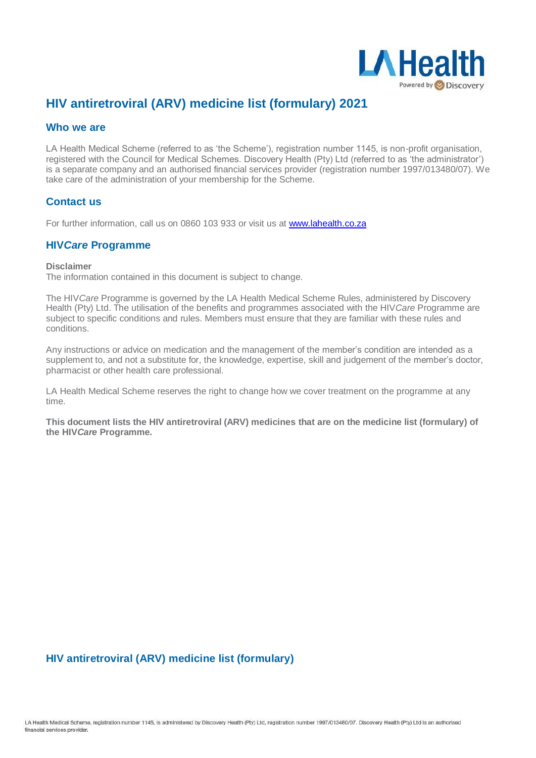

# **HIV antiretroviral (ARV) medicine list (formulary) 2021**

#### **Who we are**

LA Health Medical Scheme (referred to as 'the Scheme'), registration number 1145, is non-profit organisation, registered with the Council for Medical Schemes. Discovery Health (Pty) Ltd (referred to as 'the administrator') is a separate company and an authorised financial services provider (registration number 1997/013480/07). We take care of the administration of your membership for the Scheme.

## **Contact us**

For further information, call us on 0860 103 933 or visit us a[t www.lahealth.co.za](http://www.lahealth.co.za/)

### **HIV***Care* **Programme**

**Disclaimer**

The information contained in this document is subject to change.

The HIV*Care* Programme is governed by the LA Health Medical Scheme Rules, administered by Discovery Health (Pty) Ltd. The utilisation of the benefits and programmes associated with the HIV*Care* Programme are subject to specific conditions and rules. Members must ensure that they are familiar with these rules and conditions.

Any instructions or advice on medication and the management of the member's condition are intended as a supplement to, and not a substitute for, the knowledge, expertise, skill and judgement of the member's doctor, pharmacist or other health care professional.

LA Health Medical Scheme reserves the right to change how we cover treatment on the programme at any time.

**This document lists the HIV antiretroviral (ARV) medicines that are on the medicine list (formulary) of the HIV***Care* **Programme.**

# **HIV antiretroviral (ARV) medicine list (formulary)**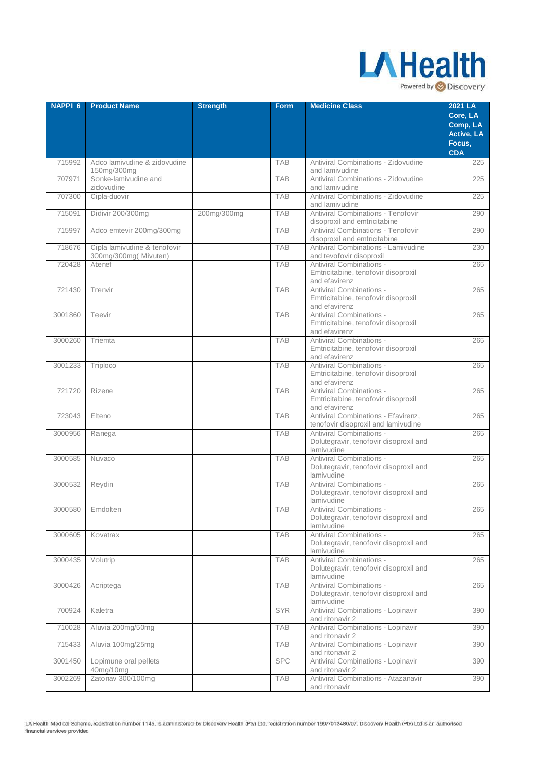

| <b>NAPPI 6</b> | <b>Product Name</b>                                  | <b>Strength</b> | <b>Form</b> | <b>Medicine Class</b>                                                            | 2021 LA<br>Core, LA    |
|----------------|------------------------------------------------------|-----------------|-------------|----------------------------------------------------------------------------------|------------------------|
|                |                                                      |                 |             |                                                                                  | Comp, LA<br>Active, LA |
|                |                                                      |                 |             |                                                                                  | Focus,<br><b>CDA</b>   |
| 715992         | Adco lamivudine & zidovudine<br>150mg/300mg          |                 | <b>TAB</b>  | Antiviral Combinations - Zidovudine<br>and lamivudine                            | 225                    |
| 707971         | Sonke-lamivudine and<br>zidovudine                   |                 | <b>TAB</b>  | Antiviral Combinations - Zidovudine<br>and lamivudine                            | 225                    |
| 707300         | Cipla-duovir                                         |                 | <b>TAB</b>  | Antiviral Combinations - Zidovudine<br>and lamivudine                            | 225                    |
| 715091         | Didivir 200/300mg                                    | 200mg/300mg     | <b>TAB</b>  | Antiviral Combinations - Tenofovir<br>disoproxil and emtricitabine               | 290                    |
| 715997         | Adco emtevir 200mg/300mg                             |                 | <b>TAB</b>  | Antiviral Combinations - Tenofovir<br>disoproxil and emtricitabine               | 290                    |
| 718676         | Cipla lamivudine & tenofovir<br>300mg/300mg(Mivuten) |                 | <b>TAB</b>  | Antiviral Combinations - Lamivudine<br>and tevofovir disoproxil                  | 230                    |
| 720428         | Atenef                                               |                 | <b>TAB</b>  | Antiviral Combinations -<br>Emtricitabine, tenofovir disoproxil<br>and efavirenz | 265                    |
| 721430         | Trenvir                                              |                 | <b>TAB</b>  | Antiviral Combinations -<br>Emtricitabine, tenofovir disoproxil<br>and efavirenz | 265                    |
| 3001860        | Teevir                                               |                 | <b>TAB</b>  | Antiviral Combinations -<br>Emtricitabine, tenofovir disoproxil<br>and efavirenz | 265                    |
| 3000260        | Triemta                                              |                 | <b>TAB</b>  | Antiviral Combinations -<br>Emtricitabine, tenofovir disoproxil<br>and efavirenz | 265                    |
| 3001233        | Triploco                                             |                 | <b>TAB</b>  | Antiviral Combinations -<br>Emtricitabine, tenofovir disoproxil<br>and efavirenz | 265                    |
| 721720         | Rizene                                               |                 | <b>TAB</b>  | Antiviral Combinations -<br>Emtricitabine, tenofovir disoproxil<br>and efavirenz | 265                    |
| 723043         | Elteno                                               |                 | <b>TAB</b>  | Antiviral Combinations - Efavirenz,<br>tenofovir disoproxil and lamivudine       | 265                    |
| 3000956        | Ranega                                               |                 | <b>TAB</b>  | Antiviral Combinations -<br>Dolutegravir, tenofovir disoproxil and<br>lamivudine | 265                    |
| 3000585        | Nuvaco                                               |                 | <b>TAB</b>  | Antiviral Combinations -<br>Dolutegravir, tenofovir disoproxil and<br>lamivudine | 265                    |
| 3000532        | Reydin                                               |                 | <b>TAB</b>  | Antiviral Combinations -<br>Dolutegravir, tenofovir disoproxil and<br>lamivudine | 265                    |
| 3000580        | Emdolten                                             |                 | <b>TAB</b>  | Antiviral Combinations -<br>Dolutegravir, tenofovir disoproxil and<br>lamivudine | 265                    |
| 3000605        | Kovatrax                                             |                 | <b>TAB</b>  | Antiviral Combinations -<br>Dolutegravir, tenofovir disoproxil and<br>lamivudine | 265                    |
| 3000435        | Volutrip                                             |                 | <b>TAB</b>  | Antiviral Combinations -<br>Dolutegravir, tenofovir disoproxil and<br>lamivudine | 265                    |
| 3000426        | Acriptega                                            |                 | <b>TAB</b>  | Antiviral Combinations -<br>Dolutegravir, tenofovir disoproxil and<br>lamivudine | 265                    |
| 700924         | Kaletra                                              |                 | <b>SYR</b>  | Antiviral Combinations - Lopinavir<br>and ritonavir 2                            | 390                    |
| 710028         | Aluvia 200mg/50mg                                    |                 | <b>TAB</b>  | Antiviral Combinations - Lopinavir<br>and ritonavir 2                            | 390                    |
| 715433         | Aluvia 100mg/25mg                                    |                 | TAB         | Antiviral Combinations - Lopinavir<br>and ritonavir 2                            | 390                    |
| 3001450        | Lopimune oral pellets<br>40mg/10mg                   |                 | <b>SPC</b>  | Antiviral Combinations - Lopinavir<br>and ritonavir 2                            | 390                    |
| 3002269        | Zatonav 300/100mg                                    |                 | <b>TAB</b>  | Antiviral Combinations - Atazanavir<br>and ritonavir                             | 390                    |